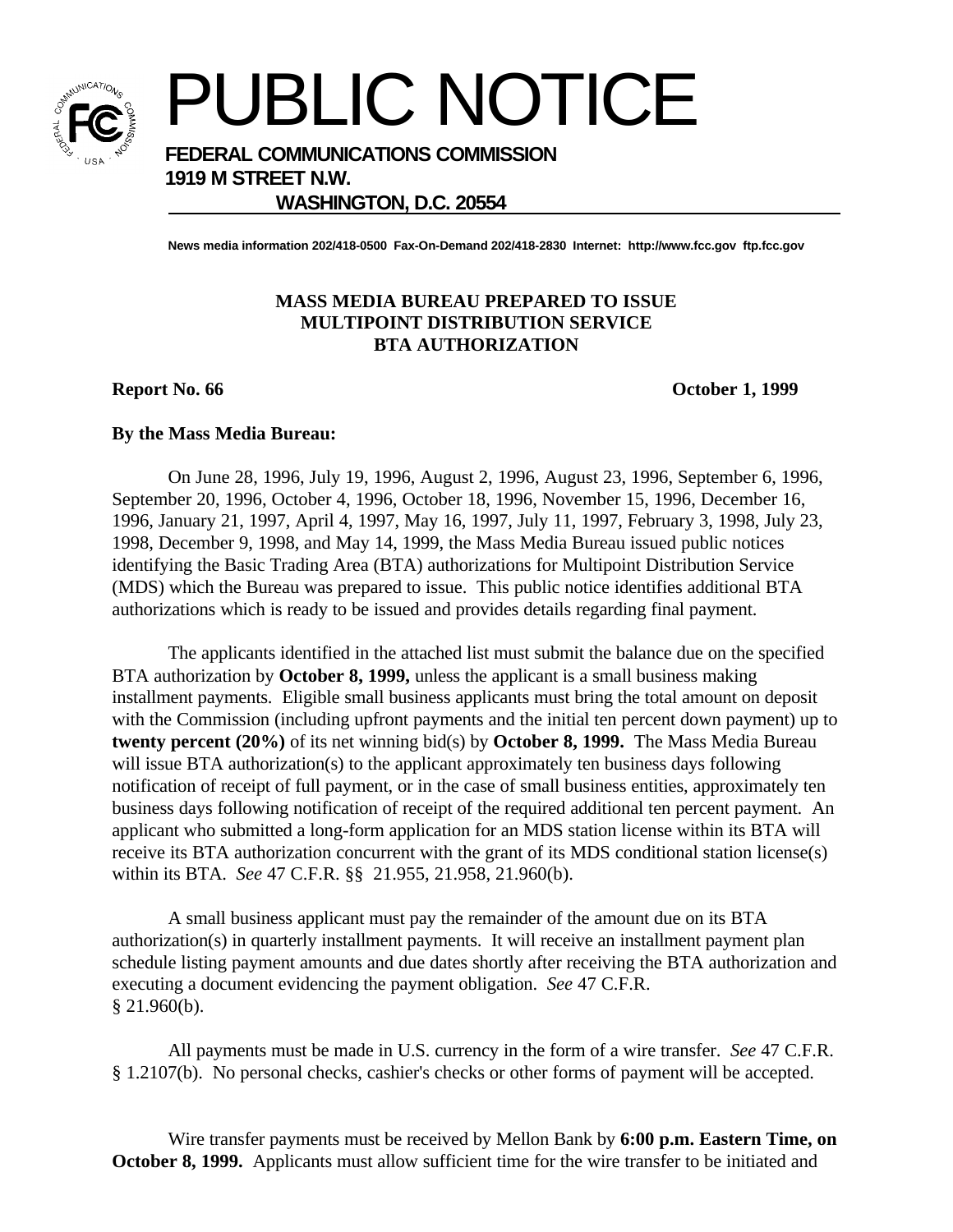

PUBLIC NOTICE

**FEDERAL COMMUNICATIONS COMMISSION**

**1919 M STREET N.W.**

## **WASHINGTON, D.C. 20554**

**News media information 202/418-0500 Fax-On-Demand 202/418-2830 Internet: http://www.fcc.gov ftp.fcc.gov**

## **MASS MEDIA BUREAU PREPARED TO ISSUE MULTIPOINT DISTRIBUTION SERVICE BTA AUTHORIZATION**

**Report No. 66 October 1, 1999**

## **By the Mass Media Bureau:**

On June 28, 1996, July 19, 1996, August 2, 1996, August 23, 1996, September 6, 1996, September 20, 1996, October 4, 1996, October 18, 1996, November 15, 1996, December 16, 1996, January 21, 1997, April 4, 1997, May 16, 1997, July 11, 1997, February 3, 1998, July 23, 1998, December 9, 1998, and May 14, 1999, the Mass Media Bureau issued public notices identifying the Basic Trading Area (BTA) authorizations for Multipoint Distribution Service (MDS) which the Bureau was prepared to issue. This public notice identifies additional BTA authorizations which is ready to be issued and provides details regarding final payment.

The applicants identified in the attached list must submit the balance due on the specified BTA authorization by **October 8, 1999,** unless the applicant is a small business making installment payments. Eligible small business applicants must bring the total amount on deposit with the Commission (including upfront payments and the initial ten percent down payment) up to **twenty percent (20%)** of its net winning bid(s) by **October 8, 1999.** The Mass Media Bureau will issue BTA authorization(s) to the applicant approximately ten business days following notification of receipt of full payment, or in the case of small business entities, approximately ten business days following notification of receipt of the required additional ten percent payment. An applicant who submitted a long-form application for an MDS station license within its BTA will receive its BTA authorization concurrent with the grant of its MDS conditional station license(s) within its BTA. *See* 47 C.F.R. §§ 21.955, 21.958, 21.960(b).

A small business applicant must pay the remainder of the amount due on its BTA authorization(s) in quarterly installment payments. It will receive an installment payment plan schedule listing payment amounts and due dates shortly after receiving the BTA authorization and executing a document evidencing the payment obligation. *See* 47 C.F.R.  $§$  21.960(b).

All payments must be made in U.S. currency in the form of a wire transfer. *See* 47 C.F.R. § 1.2107(b). No personal checks, cashier's checks or other forms of payment will be accepted.

Wire transfer payments must be received by Mellon Bank by **6:00 p.m. Eastern Time, on October 8, 1999.** Applicants must allow sufficient time for the wire transfer to be initiated and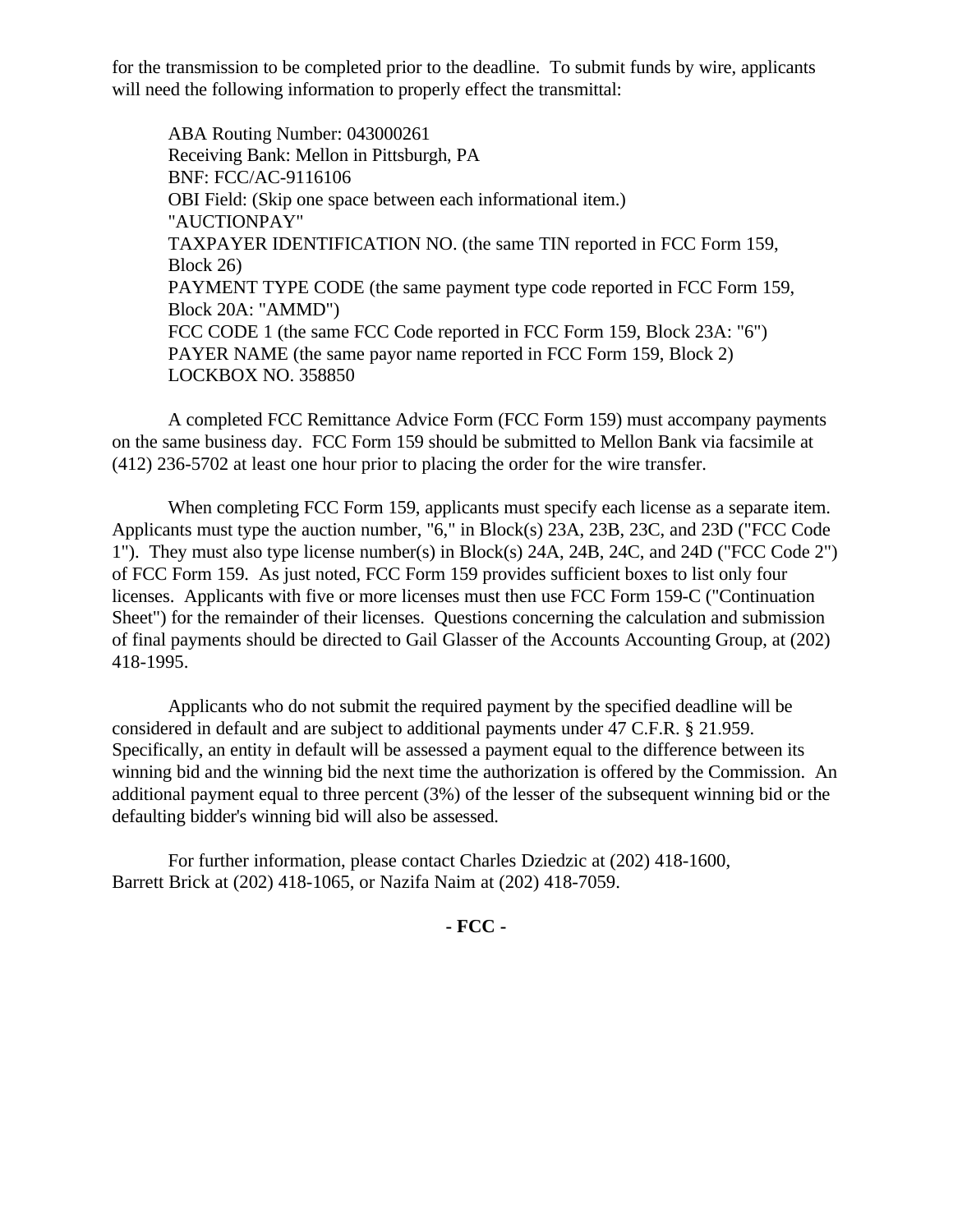for the transmission to be completed prior to the deadline. To submit funds by wire, applicants will need the following information to properly effect the transmittal:

ABA Routing Number: 043000261 Receiving Bank: Mellon in Pittsburgh, PA BNF: FCC/AC-9116106 OBI Field: (Skip one space between each informational item.) "AUCTIONPAY" TAXPAYER IDENTIFICATION NO. (the same TIN reported in FCC Form 159, Block 26) PAYMENT TYPE CODE (the same payment type code reported in FCC Form 159, Block 20A: "AMMD") FCC CODE 1 (the same FCC Code reported in FCC Form 159, Block 23A: "6") PAYER NAME (the same payor name reported in FCC Form 159, Block 2) LOCKBOX NO. 358850

A completed FCC Remittance Advice Form (FCC Form 159) must accompany payments on the same business day. FCC Form 159 should be submitted to Mellon Bank via facsimile at (412) 236-5702 at least one hour prior to placing the order for the wire transfer.

When completing FCC Form 159, applicants must specify each license as a separate item. Applicants must type the auction number, "6," in Block(s) 23A, 23B, 23C, and 23D ("FCC Code 1"). They must also type license number(s) in Block(s) 24A, 24B, 24C, and 24D ("FCC Code 2") of FCC Form 159. As just noted, FCC Form 159 provides sufficient boxes to list only four licenses. Applicants with five or more licenses must then use FCC Form 159-C ("Continuation Sheet") for the remainder of their licenses. Questions concerning the calculation and submission of final payments should be directed to Gail Glasser of the Accounts Accounting Group, at (202) 418-1995.

Applicants who do not submit the required payment by the specified deadline will be considered in default and are subject to additional payments under 47 C.F.R. § 21.959. Specifically, an entity in default will be assessed a payment equal to the difference between its winning bid and the winning bid the next time the authorization is offered by the Commission. An additional payment equal to three percent (3%) of the lesser of the subsequent winning bid or the defaulting bidder's winning bid will also be assessed.

For further information, please contact Charles Dziedzic at (202) 418-1600, Barrett Brick at (202) 418-1065, or Nazifa Naim at (202) 418-7059.

**- FCC -**